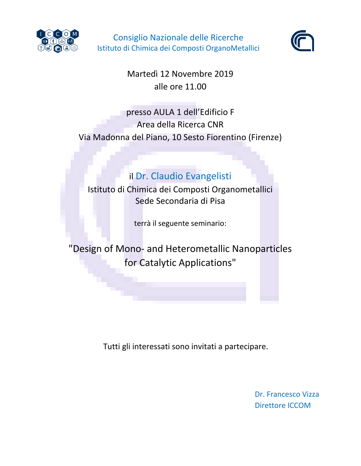

Consiglio Nazionale delle Ricerche Istituto di Chimica dei Composti OrganoMetallici



Martedì 12 Novembre 2019 alle ore 11.00

## presso AULA 1 dell'Edificio F Area della Ricerca CNR Via Madonna del Piano, 10 Sesto Fiorentino (Firenze)

## il Dr. Claudio Evangelisti

Istituto di Chimica dei Composti Organometallici Sede Secondaria di Pisa

terrà il seguente seminario:

"Design of Mono- and Heterometallic Nanoparticles for Catalytic Applications"

Tutti gli interessati sono invitati a partecipare.

Dr. Francesco Vizza Direttore ICCOM